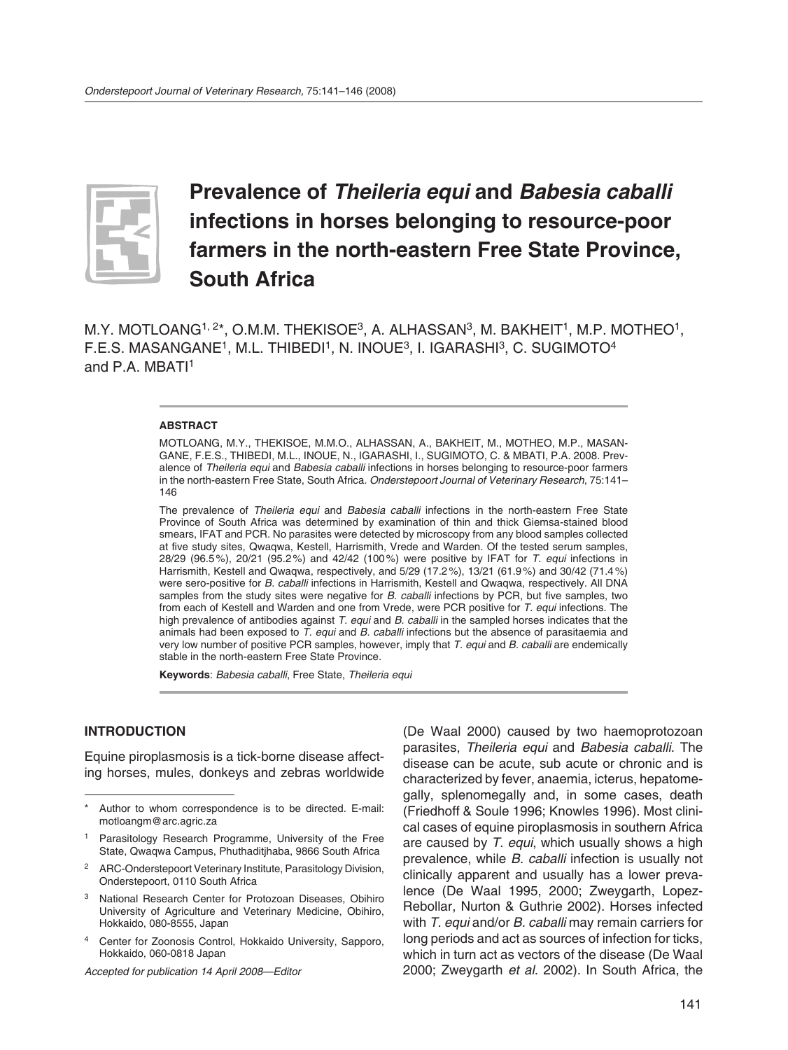

# **Prevalence of** *Theileria equi* **and** *Babesia caballi* **infections in horses belonging to resource-poor farmers in the north-eastern Free State Province, South Africa**

M.Y. MOTLOANG<sup>1, 2\*</sup>, O.M.M. THEKISOE<sup>3</sup>, A. ALHASSAN<sup>3</sup>, M. BAKHEIT<sup>1</sup>, M.P. MOTHEO<sup>1</sup>, F.E.S. MASANGANE<sup>1</sup>, M.L. THIBEDI<sup>1</sup>, N. INOUE<sup>3</sup>, I. IGARASHI<sup>3</sup>, C. SUGIMOTO<sup>4</sup> and P.A. MBATI<sup>1</sup>

#### **ABSTRACT**

MOTLOANG, M.Y., THEKISOE, M.M.O., ALHASSAN, A., BAKHEIT, M., MOTHEO, M.P., MASAN-GANE, F.E.S., THIBEDI, M.L., INOUE, N., IGARASHI, I., SUGIMOTO, C. & MBATI, P.A. 2008. Prevalence of *Theileria equi* and *Babesia caballi* infections in horses belonging to resource-poor farmers in the north-eastern Free State, South Africa. *Onderstepoort Journal of Veterinary Research*, 75:141– 146

The prevalence of *Theileria equi* and *Babesia caballi* infections in the north-eastern Free State Province of South Africa was determined by examination of thin and thick Giemsa-stained blood smears, IFAT and PCR. No parasites were detected by microscopy from any blood samples collected at five study sites, Qwaqwa, Kestell, Harrismith, Vrede and Warden. Of the tested serum samples, 28/29 (96.5 %), 20/21 (95.2 %) and 42/42 (100 %) were positive by IFAT for *T. equi* infections in Harrismith, Kestell and Qwaqwa, respectively, and 5/29 (17.2 %), 13/21 (61.9 %) and 30/42 (71.4 %) were sero-positive for *B. caballi* infections in Harrismith, Kestell and Qwaqwa, respectively. All DNA samples from the study sites were negative for *B. caballi* infections by PCR, but five samples, two from each of Kestell and Warden and one from Vrede, were PCR positive for *T. equi* infections. The high prevalence of antibodies against *T. equi* and *B. caballi* in the sampled horses indicates that the animals had been exposed to *T. equi* and *B. caballi* infections but the absence of parasitaemia and very low number of positive PCR samples, however, imply that *T. equi* and *B. caballi* are endemically stable in the north-eastern Free State Province.

**Keywords**: *Babesia caballi*, Free State, *Theileria equi*

## **INTRODUCTION**

Equine piroplasmosis is a tick-borne disease affecting horses, mules, donkeys and zebras worldwide

*Accepted for publication 14 April 2008—Editor*

(De Waal 2000) caused by two haemoprotozoan parasites, *Theileria equi* and *Babesia caballi*. The disease can be acute, sub acute or chronic and is characterized by fever, anaemia, icterus, hepatomegally, splenomegally and, in some cases, death (Friedhoff & Soule 1996; Knowles 1996). Most clinical cases of equine piroplasmosis in southern Africa are caused by *T. equi*, which usually shows a high prevalence, while *B. caballi* infection is usually not clinically apparent and usually has a lower prevalence (De Waal 1995, 2000; Zweygarth, Lopez-Rebollar, Nurton & Guthrie 2002). Horses infected with *T. equi* and/or *B. caballi* may remain carriers for long periods and act as sources of infection for ticks, which in turn act as vectors of the disease (De Waal 2000; Zweygarth *et al*. 2002). In South Africa, the

Author to whom correspondence is to be directed. E-mail: motloangm@arc.agric.za

Parasitology Research Programme, University of the Free State, Qwaqwa Campus, Phuthaditjhaba, 9866 South Africa

<sup>2</sup> ARC-Onderstepoort Veterinary Institute, Parasitology Division, Onderstepoort, 0110 South Africa

<sup>3</sup> National Research Center for Protozoan Diseases, Obihiro University of Agriculture and Veterinary Medicine, Obihiro, Hokkaido, 080-8555, Japan

<sup>4</sup> Center for Zoonosis Control, Hokkaido University, Sapporo, Hokkaido, 060-0818 Japan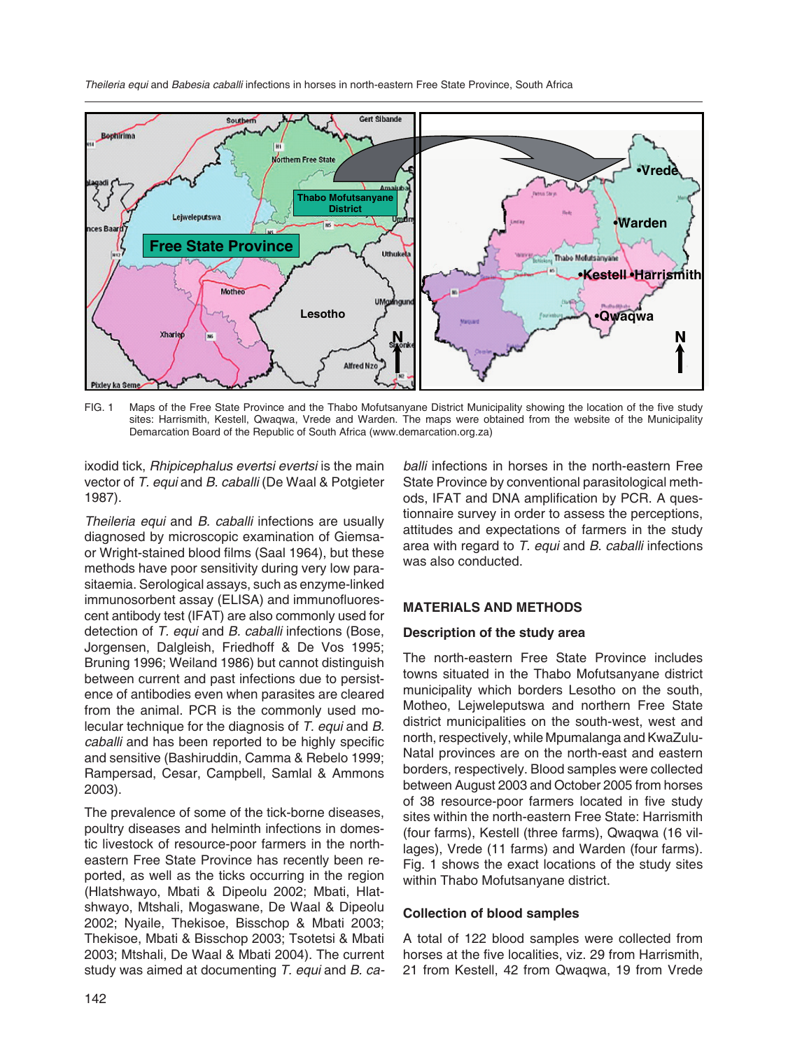*Theileria equi* and *Babesia caballi* infections in horses in north-eastern Free State Province, South Africa



FIG. 1 Maps of the Free State Province and the Thabo Mofutsanyane District Municipality showing the location of the five study sites: Harrismith, Kestell, Qwaqwa, Vrede and Warden. The maps were obtained from the website of the Municipality Demarcation Board of the Republic of South Africa (www.demarcation.org.za)

ixodid tick, *Rhipicephalus evertsi evertsi* is the main vector of *T. equi* and *B. caballi* (De Waal & Potgieter 1987).

*Theileria equi* and *B. caballi* infections are usually diagnosed by microscopic examination of Giemsaor Wright-stained blood films (Saal 1964), but these methods have poor sensitivity during very low parasitaemia. Serological assays, such as enzyme-linked immunosorbent assay (ELISA) and immunofluorescent antibody test (IFAT) are also commonly used for detection of *T. equi* and *B. caballi* infections (Bose, Jorgensen, Dalgleish, Friedhoff & De Vos 1995; Bruning 1996; Weiland 1986) but cannot distinguish between current and past infections due to persistence of antibodies even when parasites are cleared from the animal. PCR is the commonly used molecular technique for the diagnosis of *T. equi* and *B. caballi* and has been reported to be highly specific and sensitive (Bashiruddin, Camma & Rebelo 1999; Rampersad, Cesar, Campbell, Samlal & Ammons 2003).

The prevalence of some of the tick-borne diseases, poultry diseases and helminth infections in domestic livestock of resource-poor farmers in the northeastern Free State Province has recently been reported, as well as the ticks occurring in the region (Hlatshwayo, Mbati & Dipeolu 2002; Mbati, Hlatshwayo, Mtshali, Mogaswane, De Waal & Dipeolu 2002; Nyaile, Thekisoe, Bisschop & Mbati 2003; Thekisoe, Mbati & Bisschop 2003; Tsotetsi & Mbati 2003; Mtshali, De Waal & Mbati 2004). The current study was aimed at documenting *T. equi* and *B. ca-*

*balli* infections in horses in the north-eastern Free State Province by conventional parasitological methods, IFAT and DNA amplification by PCR. A questionnaire survey in order to assess the perceptions, attitudes and expectations of farmers in the study area with regard to *T. equi* and *B. caballi* infections was also conducted.

## **MATERIALS AND METHODS**

## **Description of the study area**

The north-eastern Free State Province includes towns situated in the Thabo Mofutsanyane district municipality which borders Lesotho on the south, Motheo, Lejweleputswa and northern Free State district municipalities on the south-west, west and north, respectively, while Mpumalanga and KwaZulu-Natal provinces are on the north-east and eastern borders, respectively. Blood samples were collected between August 2003 and October 2005 from horses of 38 resource-poor farmers located in five study sites within the north-eastern Free State: Harrismith (four farms), Kestell (three farms), Qwaqwa (16 villages), Vrede (11 farms) and Warden (four farms). Fig. 1 shows the exact locations of the study sites within Thabo Mofutsanyane district.

## **Collection of blood samples**

A total of 122 blood samples were collected from horses at the five localities, viz. 29 from Harrismith, 21 from Kestell, 42 from Qwaqwa, 19 from Vrede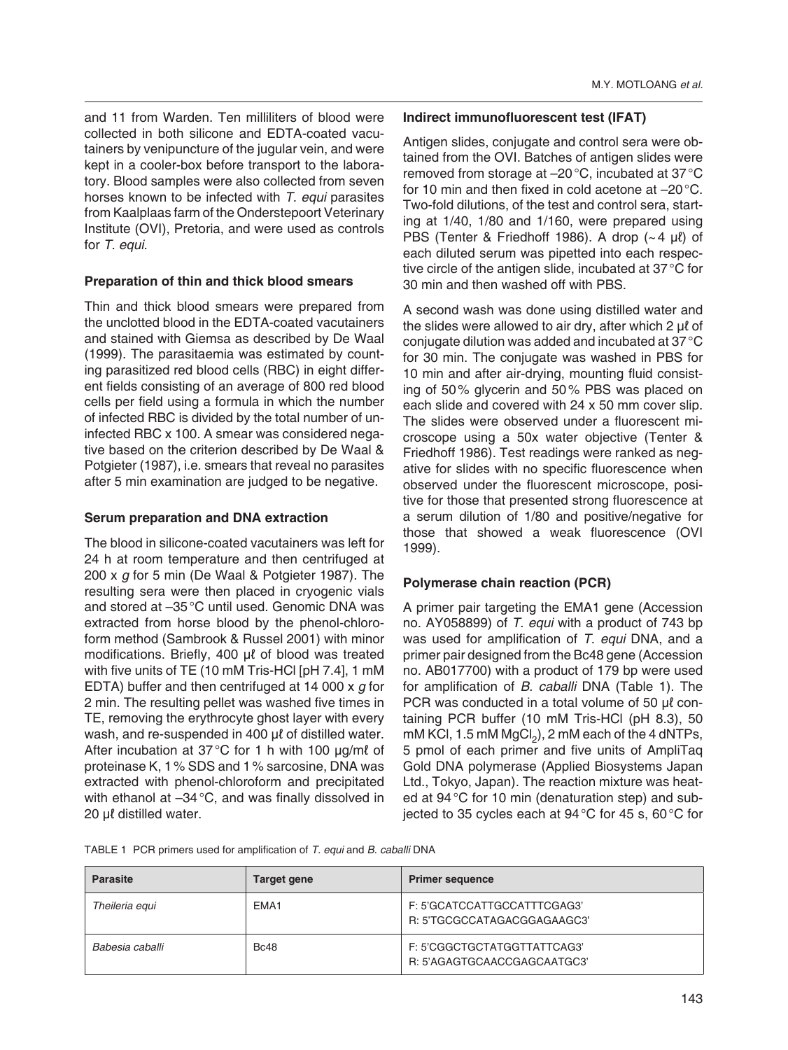and 11 from Warden. Ten milliliters of blood were collected in both silicone and EDTA-coated vacutainers by venipuncture of the jugular vein, and were kept in a cooler-box before transport to the laboratory. Blood samples were also collected from seven horses known to be infected with *T. equi* parasites from Kaalplaas farm of the Onderstepoort Veterinary Institute (OVI), Pretoria, and were used as controls for *T. equi*.

## **Preparation of thin and thick blood smears**

Thin and thick blood smears were prepared from the unclotted blood in the EDTA-coated vacutainers and stained with Giemsa as described by De Waal (1999). The parasitaemia was estimated by counting parasitized red blood cells (RBC) in eight different fields consisting of an average of 800 red blood cells per field using a formula in which the number of infected RBC is divided by the total number of uninfected RBC x 100. A smear was considered negative based on the criterion described by De Waal & Potgieter (1987), i.e. smears that reveal no parasites after 5 min examination are judged to be negative.

## **Serum preparation and DNA extraction**

The blood in silicone-coated vacutainers was left for 24 h at room temperature and then centrifuged at 200 x *g* for 5 min (De Waal & Potgieter 1987). The resulting sera were then placed in cryogenic vials and stored at –35 °C until used. Genomic DNA was extracted from horse blood by the phenol-chloroform method (Sambrook & Russel 2001) with minor modifications. Briefly, 400 μℓ of blood was treated with five units of TE (10 mM Tris-HCl [pH 7.4], 1 mM EDTA) buffer and then centrifuged at 14 000 x *g* for 2 min. The resulting pellet was washed five times in TE, removing the erythrocyte ghost layer with every wash, and re-suspended in 400 μℓ of distilled water. After incubation at 37 °C for 1 h with 100 μg/mℓ of proteinase K, 1 % SDS and 1 % sarcosine, DNA was extracted with phenol-chloroform and precipitated with ethanol at -34 °C, and was finally dissolved in 20 μℓ distilled water.

## **Indirect immunofluorescent test (IFAT)**

Antigen slides, conjugate and control sera were obtained from the OVI. Batches of antigen slides were removed from storage at –20 °C, incubated at 37 °C for 10 min and then fixed in cold acetone at –20 °C. Two-fold dilutions, of the test and control sera, starting at 1/40, 1/80 and 1/160, were prepared using PBS (Tenter & Friedhoff 1986). A drop  $(-4 \mu l)$  of each diluted serum was pipetted into each respective circle of the antigen slide, incubated at 37 °C for 30 min and then washed off with PBS.

A second wash was done using distilled water and the slides were allowed to air dry, after which 2 μℓ of conjugate dilution was added and incubated at 37 °C for 30 min. The conjugate was washed in PBS for 10 min and after air-drying, mounting fluid consisting of 50 % glycerin and 50 % PBS was placed on each slide and covered with 24 x 50 mm cover slip. The slides were observed under a fluorescent microscope using a 50x water objective (Tenter & Friedhoff 1986). Test readings were ranked as negative for slides with no specific fluorescence when observed under the fluorescent microscope, positive for those that presented strong fluorescence at a serum dilution of 1/80 and positive/negative for those that showed a weak fluorescence (OVI 1999).

## **Polymerase chain reaction (PCR)**

A primer pair targeting the EMA1 gene (Accession no. AY058899) of *T. equi* with a product of 743 bp was used for amplification of *T. equi* DNA, and a primer pair designed from the Bc48 gene (Accession no. AB017700) with a product of 179 bp were used for amplification of *B. caballi* DNA (Table 1). The PCR was conducted in a total volume of 50 μℓ containing PCR buffer (10 mM Tris-HCl (pH 8.3), 50 mM KCl, 1.5 mM  $MgCl<sub>2</sub>$ ), 2 mM each of the 4 dNTPs, 5 pmol of each primer and five units of AmpliTaq Gold DNA polymerase (Applied Biosystems Japan Ltd., Tokyo, Japan). The reaction mixture was heated at 94 °C for 10 min (denaturation step) and subjected to 35 cycles each at 94 °C for 45 s, 60 °C for

TABLE 1 PCR primers used for amplification of *T. equi* and *B. caballi* DNA

| <b>Parasite</b> | Target gene      | <b>Primer sequence</b>                                     |
|-----------------|------------------|------------------------------------------------------------|
| Theileria equi  | EMA <sub>1</sub> | F: 5'GCATCCATTGCCATTTCGAG3'<br>R: 5'TGCGCCATAGACGGAGAAGC3' |
| Babesia caballi | <b>Bc48</b>      | F: 5'CGGCTGCTATGGTTATTCAG3'<br>R: 5'AGAGTGCAACCGAGCAATGC3' |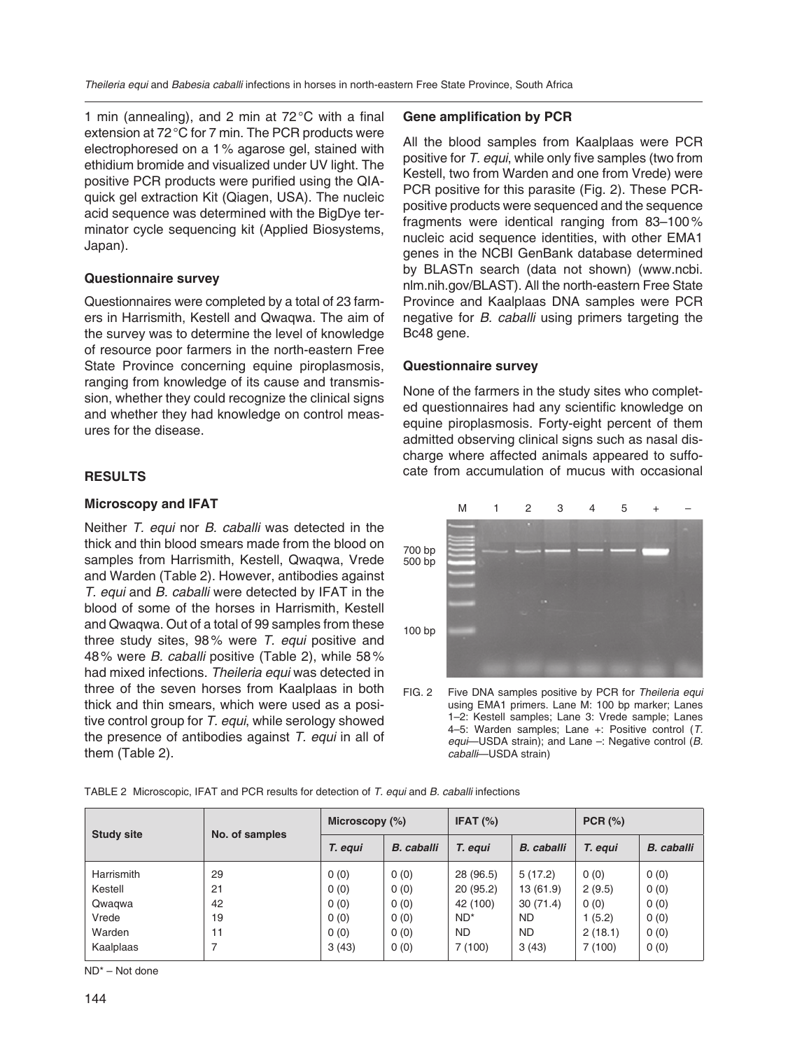1 min (annealing), and 2 min at  $72^{\circ}$ C with a final extension at 72 °C for 7 min. The PCR products were electrophoresed on a 1 % agarose gel, stained with ethidium bromide and visualized under UV light. The positive PCR products were purified using the QIAquick gel extraction Kit (Qiagen, USA). The nucleic acid sequence was determined with the BigDye terminator cycle sequencing kit (Applied Biosystems, Japan).

## **Questionnaire survey**

Questionnaires were completed by a total of 23 farmers in Harrismith, Kestell and Qwaqwa. The aim of the survey was to determine the level of knowledge of resource poor farmers in the north-eastern Free State Province concerning equine piroplasmosis, ranging from knowledge of its cause and transmission, whether they could recognize the clinical signs and whether they had knowledge on control measures for the disease.

## **RESULTS**

## **Microscopy and IFAT**

Neither *T. equi* nor *B. caballi* was detected in the thick and thin blood smears made from the blood on samples from Harrismith, Kestell, Qwaqwa, Vrede and Warden (Table 2). However, antibodies against *T. equi* and *B. caballi* were detected by IFAT in the blood of some of the horses in Harrismith, Kestell and Qwaqwa. Out of a total of 99 samples from these three study sites, 98 % were *T. equi* positive and 48 % were *B. caballi* positive (Table 2), while 58 % had mixed infections. *Theileria equi* was detected in three of the seven horses from Kaalplaas in both thick and thin smears, which were used as a positive control group for *T. equi*, while serology showed the presence of antibodies against *T. equi* in all of them (Table 2).

#### **Gene amplification by PCR**

All the blood samples from Kaalplaas were PCR positive for *T. equi*, while only five samples (two from Kestell, two from Warden and one from Vrede) were PCR positive for this parasite (Fig. 2). These PCRpositive products were sequenced and the sequence fragments were identical ranging from 83–100 % nucleic acid sequence identities, with other EMA1 genes in the NCBI GenBank database determined by BLASTn search (data not shown) (www.ncbi. nlm.nih.gov/BLAST). All the north-eastern Free State Province and Kaalplaas DNA samples were PCR neg ative for *B. caballi* using primers targeting the Bc48 gene.

#### **Questionnaire survey**

None of the farmers in the study sites who completed questionnaires had any scientific knowledge on equine piroplasmosis. Forty-eight percent of them admitted observing clinical signs such as nasal discharge where affected animals appeared to suffocate from accumulation of mucus with occasional



FIG. 2 Five DNA samples positive by PCR for *Theileria equi* using EMA1 primers. Lane M: 100 bp marker; Lanes 1–2: Kestell samples; Lane 3: Vrede sample; Lanes 4–5: Warden samples; Lane +: Positive control (*T. equi*—USDA strain); and Lane –: Negative control (*B. caballi*—USDA strain)

| TABLE 2 Microscopic, IFAT and PCR results for detection of T. equi and B. caballi infections |  |  |
|----------------------------------------------------------------------------------------------|--|--|

| <b>Study site</b> | No. of samples | Microscopy $(\%)$ |                   | IFAT $(%)$ |                   | PCR (%) |                   |
|-------------------|----------------|-------------------|-------------------|------------|-------------------|---------|-------------------|
|                   |                | T. equi           | <b>B.</b> caballi | T. equi    | <b>B.</b> caballi | T. equi | <b>B.</b> caballi |
| Harrismith        | 29             | 0(0)              | 0(0)              | 28 (96.5)  | 5(17.2)           | 0(0)    | 0(0)              |
| Kestell           | 21             | 0(0)              | 0(0)              | 20(95.2)   | 13(61.9)          | 2(9.5)  | 0(0)              |
| Qwaqwa            | 42             | 0(0)              | 0(0)              | 42 (100)   | 30(71.4)          | 0(0)    | 0(0)              |
| Vrede             | 19             | 0(0)              | 0(0)              | $ND^*$     | <b>ND</b>         | 1 (5.2) | 0(0)              |
| Warden            | 11             | 0(0)              | 0(0)              | <b>ND</b>  | <b>ND</b>         | 2(18.1) | 0(0)              |
| Kaalplaas         | 7              | 3(43)             | 0(0)              | 7(100)     | 3(43)             | 7(100)  | 0(0)              |

ND\* – Not done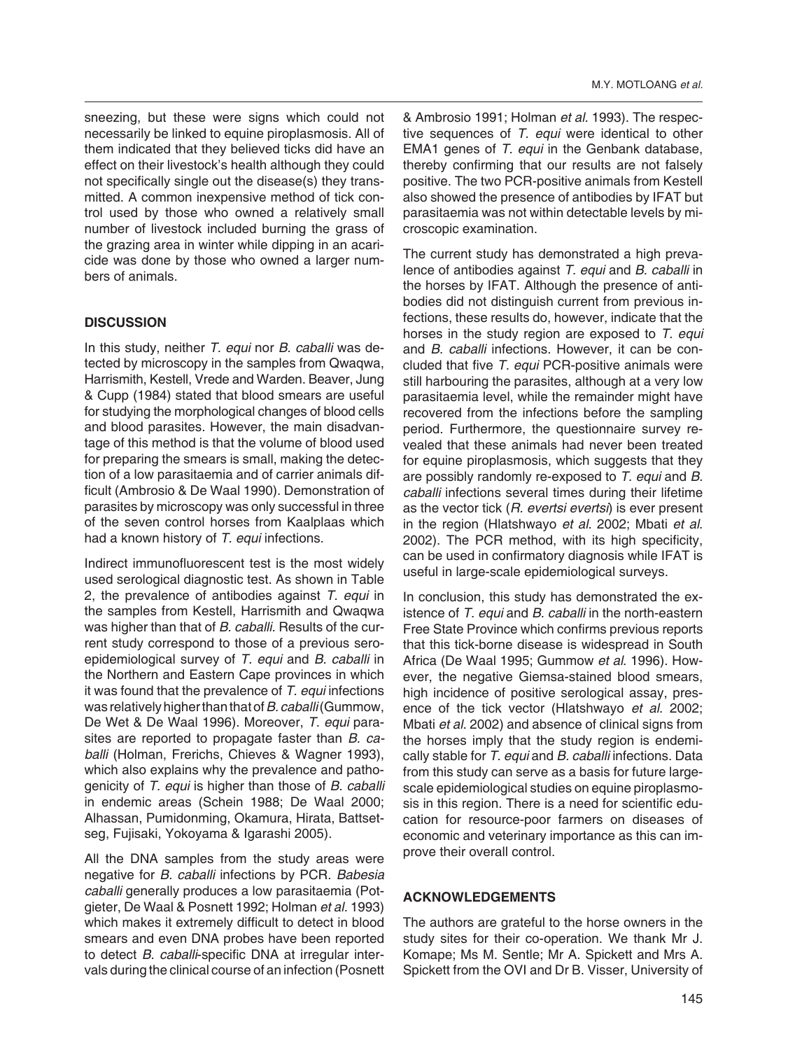sneezing, but these were signs which could not necessarily be linked to equine piroplasmosis. All of them indicated that they believed ticks did have an effect on their livestock's health although they could not specifically single out the disease(s) they transmitted. A common inexpensive method of tick control used by those who owned a relatively small number of livestock included burning the grass of the grazing area in winter while dipping in an acaricide was done by those who owned a larger numbers of animals.

## **DISCUSSION**

In this study, neither *T. equi* nor *B. caballi* was detected by microscopy in the samples from Qwaqwa, Harrismith, Kestell, Vrede and Warden. Beaver, Jung & Cupp (1984) stated that blood smears are useful for studying the morphological changes of blood cells and blood parasites. However, the main disadvantage of this method is that the volume of blood used for preparing the smears is small, making the detection of a low parasitaemia and of carrier animals difficult (Ambrosio & De Waal 1990). Demonstration of parasites by microscopy was only successful in three of the seven control horses from Kaalplaas which had a known history of *T. equi* infections.

Indirect immunofluorescent test is the most widely used serological diagnostic test. As shown in Table 2, the prevalence of antibodies against *T. equi* in the samples from Kestell, Harrismith and Qwaqwa was higher than that of *B. caballi*. Results of the current study correspond to those of a previous seroepidemiological survey of *T. equi* and *B. caballi* in the Northern and Eastern Cape provinces in which it was found that the prevalence of *T. equi* infections was relatively higher than that of *B. caballi* (Gummow, De Wet & De Waal 1996). Moreover, *T. equi* parasites are reported to propagate faster than *B. caballi* (Holman, Frerichs, Chieves & Wagner 1993), which also explains why the prevalence and pathogenicity of *T. equi* is higher than those of *B. caballi* in endemic areas (Schein 1988; De Waal 2000; Alhassan, Pumidonming, Okamura, Hirata, Battsetseg, Fujisaki, Yokoyama & Igarashi 2005).

All the DNA samples from the study areas were negative for *B. caballi* infections by PCR. *Babesia caballi* generally produces a low parasitaemia (Potgieter, De Waal & Posnett 1992; Holman *et al.* 1993) which makes it extremely difficult to detect in blood smears and even DNA probes have been reported to detect *B. caballi*-specific DNA at irregular intervals during the clinical course of an infection (Posnett

& Ambrosio 1991; Holman *et al.* 1993). The respective sequences of *T. equi* were identical to other EMA1 genes of *T. equi* in the Genbank database, thereby confirming that our results are not falsely positive. The two PCR-positive animals from Kestell also showed the presence of antibodies by IFAT but parasitaemia was not within detectable levels by microscopic examination.

The current study has demonstrated a high prevalence of antibodies against *T. equi* and *B. caballi* in the horses by IFAT. Although the presence of antibodies did not distinguish current from previous infections, these results do, however, indicate that the horses in the study region are exposed to *T. equi* and *B. caballi* infections. However, it can be concluded that five *T. equi* PCR-positive animals were still harbouring the parasites, although at a very low parasitaemia level, while the remainder might have recovered from the infections before the sampling period. Furthermore, the questionnaire survey revealed that these animals had never been treated for equine piroplasmosis, which suggests that they are possibly randomly re-exposed to *T. equi* and *B. caballi* infections several times during their lifetime as the vector tick (*R. evertsi evertsi*) is ever present in the region (Hlatshwayo *et al*. 2002; Mbati *et al*. 2002). The PCR method, with its high specificity, can be used in confirmatory diagnosis while IFAT is useful in large-scale epidemiological surveys.

In conclusion, this study has demonstrated the existence of *T. equi* and *B. caballi* in the north-eastern Free State Province which confirms previous reports that this tick-borne disease is widespread in South Africa (De Waal 1995; Gummow *et al*. 1996). However, the negative Giemsa-stained blood smears, high incidence of positive serological assay, presence of the tick vector (Hlatshwayo *et al*. 2002; Mbati *et al*. 2002) and absence of clinical signs from the horses imply that the study region is endemically stable for *T. equi* and *B. caballi* infections. Data from this study can serve as a basis for future largescale epidemiological studies on equine piroplasmosis in this region. There is a need for scientific education for resource-poor farmers on diseases of economic and veterinary importance as this can improve their overall control.

## **ACKNOWLEDGEMENTS**

The authors are grateful to the horse owners in the study sites for their co-operation. We thank Mr J. Komape; Ms M. Sentle; Mr A. Spickett and Mrs A. Spickett from the OVI and Dr B. Visser, University of